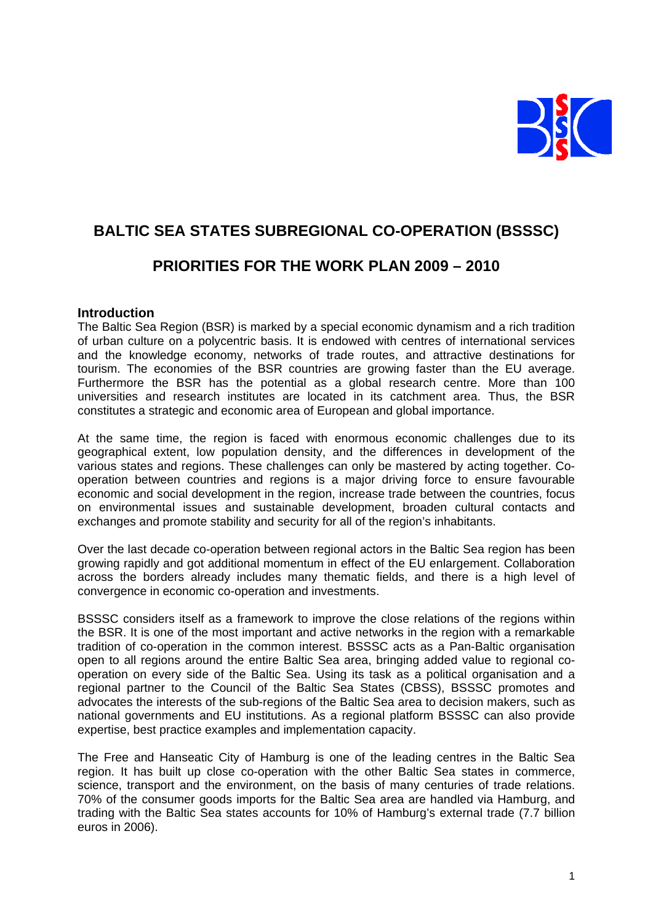

# **BALTIC SEA STATES SUBREGIONAL CO-OPERATION (BSSSC)**

# **PRIORITIES FOR THE WORK PLAN 2009 – 2010**

#### **Introduction**

The Baltic Sea Region (BSR) is marked by a special economic dynamism and a rich tradition of urban culture on a polycentric basis. It is endowed with centres of international services and the knowledge economy, networks of trade routes, and attractive destinations for tourism. The economies of the BSR countries are growing faster than the EU average. Furthermore the BSR has the potential as a global research centre. More than 100 universities and research institutes are located in its catchment area. Thus, the BSR constitutes a strategic and economic area of European and global importance.

At the same time, the region is faced with enormous economic challenges due to its geographical extent, low population density, and the differences in development of the various states and regions. These challenges can only be mastered by acting together. Cooperation between countries and regions is a major driving force to ensure favourable economic and social development in the region, increase trade between the countries, focus on environmental issues and sustainable development, broaden cultural contacts and exchanges and promote stability and security for all of the region's inhabitants.

Over the last decade co-operation between regional actors in the Baltic Sea region has been growing rapidly and got additional momentum in effect of the EU enlargement. Collaboration across the borders already includes many thematic fields, and there is a high level of convergence in economic co-operation and investments.

BSSSC considers itself as a framework to improve the close relations of the regions within the BSR. It is one of the most important and active networks in the region with a remarkable tradition of co-operation in the common interest. BSSSC acts as a Pan-Baltic organisation open to all regions around the entire Baltic Sea area, bringing added value to regional cooperation on every side of the Baltic Sea. Using its task as a political organisation and a regional partner to the Council of the Baltic Sea States (CBSS), BSSSC promotes and advocates the interests of the sub-regions of the Baltic Sea area to decision makers, such as national governments and EU institutions. As a regional platform BSSSC can also provide expertise, best practice examples and implementation capacity.

The Free and Hanseatic City of Hamburg is one of the leading centres in the Baltic Sea region. It has built up close co-operation with the other Baltic Sea states in commerce, science, transport and the environment, on the basis of many centuries of trade relations. 70% of the consumer goods imports for the Baltic Sea area are handled via Hamburg, and trading with the Baltic Sea states accounts for 10% of Hamburg's external trade (7.7 billion euros in 2006).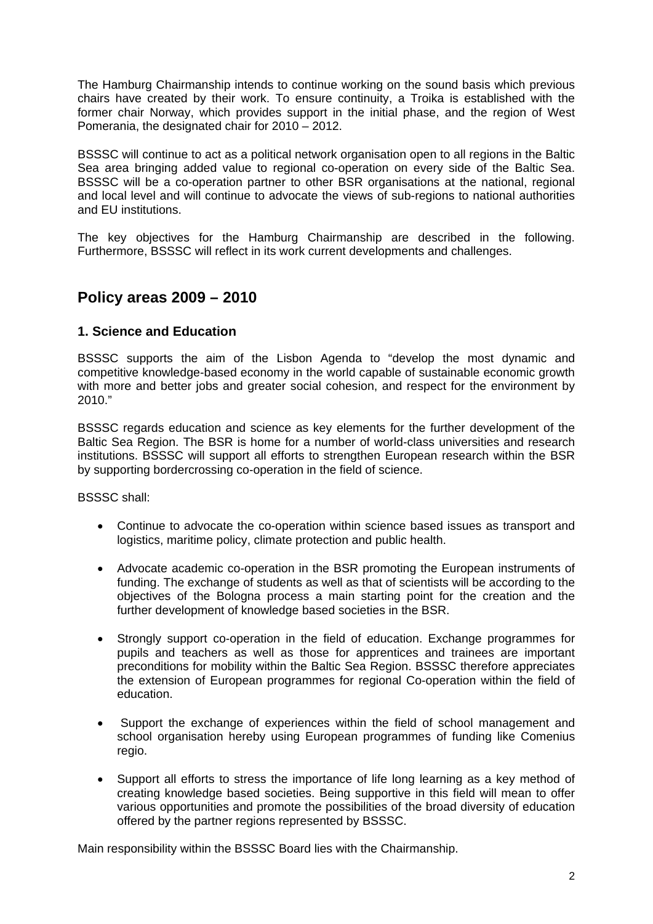The Hamburg Chairmanship intends to continue working on the sound basis which previous chairs have created by their work. To ensure continuity, a Troika is established with the former chair Norway, which provides support in the initial phase, and the region of West Pomerania, the designated chair for 2010 – 2012.

BSSSC will continue to act as a political network organisation open to all regions in the Baltic Sea area bringing added value to regional co-operation on every side of the Baltic Sea. BSSSC will be a co-operation partner to other BSR organisations at the national, regional and local level and will continue to advocate the views of sub-regions to national authorities and EU institutions.

The key objectives for the Hamburg Chairmanship are described in the following. Furthermore, BSSSC will reflect in its work current developments and challenges.

## **Policy areas 2009 – 2010**

## **1. Science and Education**

BSSSC supports the aim of the Lisbon Agenda to "develop the most dynamic and competitive knowledge-based economy in the world capable of sustainable economic growth with more and better jobs and greater social cohesion, and respect for the environment by 2010."

BSSSC regards education and science as key elements for the further development of the Baltic Sea Region. The BSR is home for a number of world-class universities and research institutions. BSSSC will support all efforts to strengthen European research within the BSR by supporting bordercrossing co-operation in the field of science.

BSSSC shall:

- Continue to advocate the co-operation within science based issues as transport and logistics, maritime policy, climate protection and public health.
- Advocate academic co-operation in the BSR promoting the European instruments of funding. The exchange of students as well as that of scientists will be according to the objectives of the Bologna process a main starting point for the creation and the further development of knowledge based societies in the BSR.
- Strongly support co-operation in the field of education. Exchange programmes for pupils and teachers as well as those for apprentices and trainees are important preconditions for mobility within the Baltic Sea Region. BSSSC therefore appreciates the extension of European programmes for regional Co-operation within the field of education.
- Support the exchange of experiences within the field of school management and school organisation hereby using European programmes of funding like Comenius regio.
- Support all efforts to stress the importance of life long learning as a key method of creating knowledge based societies. Being supportive in this field will mean to offer various opportunities and promote the possibilities of the broad diversity of education offered by the partner regions represented by BSSSC.

Main responsibility within the BSSSC Board lies with the Chairmanship.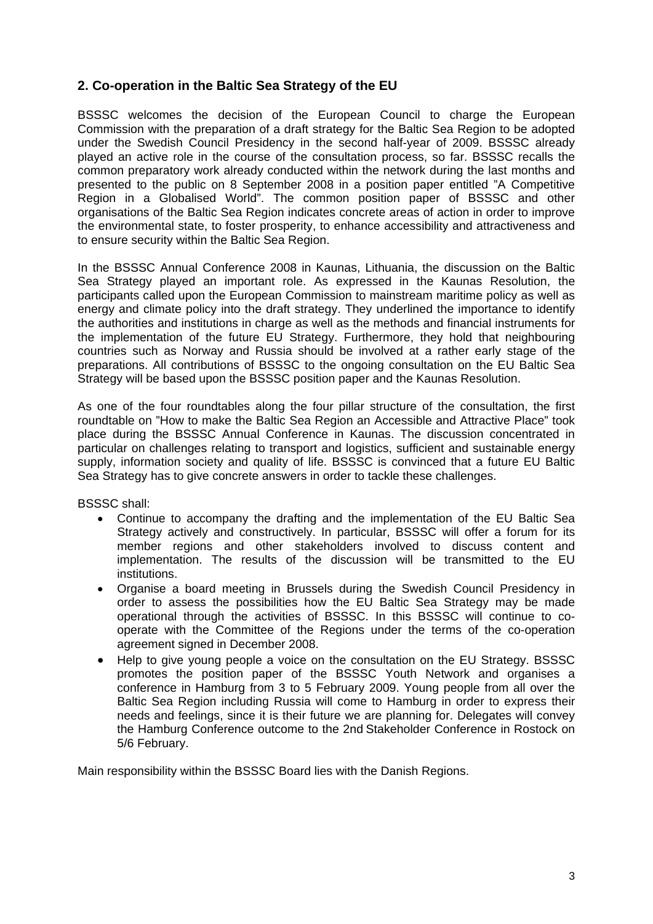## **2. Co-operation in the Baltic Sea Strategy of the EU**

BSSSC welcomes the decision of the European Council to charge the European Commission with the preparation of a draft strategy for the Baltic Sea Region to be adopted under the Swedish Council Presidency in the second half-year of 2009. BSSSC already played an active role in the course of the consultation process, so far. BSSSC recalls the common preparatory work already conducted within the network during the last months and presented to the public on 8 September 2008 in a position paper entitled "A Competitive Region in a Globalised World". The common position paper of BSSSC and other organisations of the Baltic Sea Region indicates concrete areas of action in order to improve the environmental state, to foster prosperity, to enhance accessibility and attractiveness and to ensure security within the Baltic Sea Region.

In the BSSSC Annual Conference 2008 in Kaunas, Lithuania, the discussion on the Baltic Sea Strategy played an important role. As expressed in the Kaunas Resolution, the participants called upon the European Commission to mainstream maritime policy as well as energy and climate policy into the draft strategy. They underlined the importance to identify the authorities and institutions in charge as well as the methods and financial instruments for the implementation of the future EU Strategy. Furthermore, they hold that neighbouring countries such as Norway and Russia should be involved at a rather early stage of the preparations. All contributions of BSSSC to the ongoing consultation on the EU Baltic Sea Strategy will be based upon the BSSSC position paper and the Kaunas Resolution.

As one of the four roundtables along the four pillar structure of the consultation, the first roundtable on "How to make the Baltic Sea Region an Accessible and Attractive Place" took place during the BSSSC Annual Conference in Kaunas. The discussion concentrated in particular on challenges relating to transport and logistics, sufficient and sustainable energy supply, information society and quality of life. BSSSC is convinced that a future EU Baltic Sea Strategy has to give concrete answers in order to tackle these challenges.

BSSSC shall:

- Continue to accompany the drafting and the implementation of the EU Baltic Sea Strategy actively and constructively. In particular, BSSSC will offer a forum for its member regions and other stakeholders involved to discuss content and implementation. The results of the discussion will be transmitted to the EU institutions.
- Organise a board meeting in Brussels during the Swedish Council Presidency in order to assess the possibilities how the EU Baltic Sea Strategy may be made operational through the activities of BSSSC. In this BSSSC will continue to cooperate with the Committee of the Regions under the terms of the co-operation agreement signed in December 2008.
- Help to give young people a voice on the consultation on the EU Strategy. BSSSC promotes the position paper of the BSSSC Youth Network and organises a conference in Hamburg from 3 to 5 February 2009. Young people from all over the Baltic Sea Region including Russia will come to Hamburg in order to express their needs and feelings, since it is their future we are planning for. Delegates will convey the Hamburg Conference outcome to the 2nd Stakeholder Conference in Rostock on 5/6 February.

Main responsibility within the BSSSC Board lies with the Danish Regions.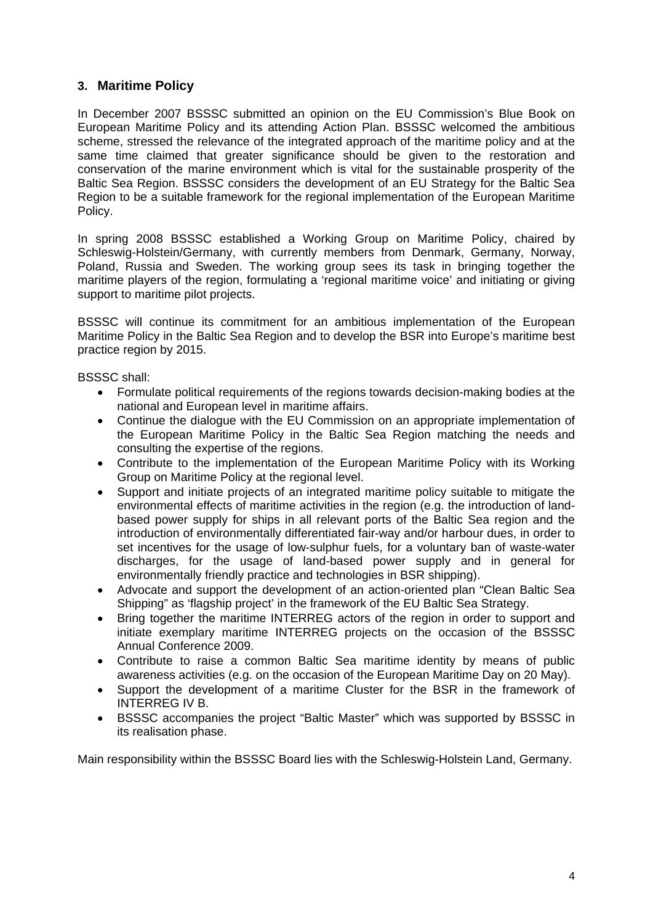## **3. Maritime Policy**

In December 2007 BSSSC submitted an opinion on the EU Commission's Blue Book on European Maritime Policy and its attending Action Plan. BSSSC welcomed the ambitious scheme, stressed the relevance of the integrated approach of the maritime policy and at the same time claimed that greater significance should be given to the restoration and conservation of the marine environment which is vital for the sustainable prosperity of the Baltic Sea Region. BSSSC considers the development of an EU Strategy for the Baltic Sea Region to be a suitable framework for the regional implementation of the European Maritime Policy.

In spring 2008 BSSSC established a Working Group on Maritime Policy, chaired by Schleswig-Holstein/Germany, with currently members from Denmark, Germany, Norway, Poland, Russia and Sweden. The working group sees its task in bringing together the maritime players of the region, formulating a 'regional maritime voice' and initiating or giving support to maritime pilot projects.

BSSSC will continue its commitment for an ambitious implementation of the European Maritime Policy in the Baltic Sea Region and to develop the BSR into Europe's maritime best practice region by 2015.

BSSSC shall:

- Formulate political requirements of the regions towards decision-making bodies at the national and European level in maritime affairs.
- Continue the dialogue with the EU Commission on an appropriate implementation of the European Maritime Policy in the Baltic Sea Region matching the needs and consulting the expertise of the regions.
- Contribute to the implementation of the European Maritime Policy with its Working Group on Maritime Policy at the regional level.
- Support and initiate projects of an integrated maritime policy suitable to mitigate the environmental effects of maritime activities in the region (e.g. the introduction of landbased power supply for ships in all relevant ports of the Baltic Sea region and the introduction of environmentally differentiated fair-way and/or harbour dues, in order to set incentives for the usage of low-sulphur fuels, for a voluntary ban of waste-water discharges, for the usage of land-based power supply and in general for environmentally friendly practice and technologies in BSR shipping).
- Advocate and support the development of an action-oriented plan "Clean Baltic Sea Shipping" as 'flagship project' in the framework of the EU Baltic Sea Strategy.
- Bring together the maritime INTERREG actors of the region in order to support and initiate exemplary maritime INTERREG projects on the occasion of the BSSSC Annual Conference 2009.
- Contribute to raise a common Baltic Sea maritime identity by means of public awareness activities (e.g. on the occasion of the European Maritime Day on 20 May).
- Support the development of a maritime Cluster for the BSR in the framework of INTERREG IV B.
- BSSSC accompanies the project "Baltic Master" which was supported by BSSSC in its realisation phase.

Main responsibility within the BSSSC Board lies with the Schleswig-Holstein Land, Germany.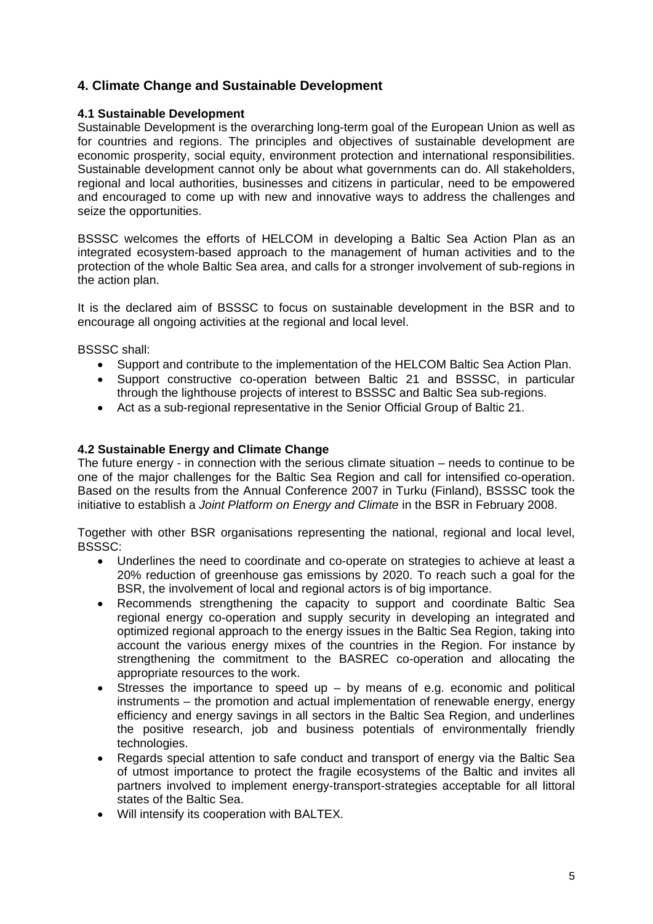## **4. Climate Change and Sustainable Development**

#### **4.1 Sustainable Development**

Sustainable Development is the overarching long-term goal of the European Union as well as for countries and regions. The principles and objectives of sustainable development are economic prosperity, social equity, environment protection and international responsibilities. Sustainable development cannot only be about what governments can do. All stakeholders, regional and local authorities, businesses and citizens in particular, need to be empowered and encouraged to come up with new and innovative ways to address the challenges and seize the opportunities.

BSSSC welcomes the efforts of HELCOM in developing a Baltic Sea Action Plan as an integrated ecosystem-based approach to the management of human activities and to the protection of the whole Baltic Sea area, and calls for a stronger involvement of sub-regions in the action plan.

It is the declared aim of BSSSC to focus on sustainable development in the BSR and to encourage all ongoing activities at the regional and local level.

BSSSC shall:

- Support and contribute to the implementation of the HELCOM Baltic Sea Action Plan.
- Support constructive co-operation between Baltic 21 and BSSSC, in particular through the lighthouse projects of interest to BSSSC and Baltic Sea sub-regions.
- Act as a sub-regional representative in the Senior Official Group of Baltic 21.

#### **4.2 Sustainable Energy and Climate Change**

The future energy - in connection with the serious climate situation – needs to continue to be one of the major challenges for the Baltic Sea Region and call for intensified co-operation. Based on the results from the Annual Conference 2007 in Turku (Finland), BSSSC took the initiative to establish a *Joint Platform on Energy and Climate* in the BSR in February 2008.

Together with other BSR organisations representing the national, regional and local level, BSSSC:

- Underlines the need to coordinate and co-operate on strategies to achieve at least a 20% reduction of greenhouse gas emissions by 2020. To reach such a goal for the BSR, the involvement of local and regional actors is of big importance.
- Recommends strengthening the capacity to support and coordinate Baltic Sea regional energy co-operation and supply security in developing an integrated and optimized regional approach to the energy issues in the Baltic Sea Region, taking into account the various energy mixes of the countries in the Region. For instance by strengthening the commitment to the BASREC co-operation and allocating the appropriate resources to the work.
- Stresses the importance to speed up  $-$  by means of e.g. economic and political instruments – the promotion and actual implementation of renewable energy, energy efficiency and energy savings in all sectors in the Baltic Sea Region, and underlines the positive research, job and business potentials of environmentally friendly technologies.
- Regards special attention to safe conduct and transport of energy via the Baltic Sea of utmost importance to protect the fragile ecosystems of the Baltic and invites all partners involved to implement energy-transport-strategies acceptable for all littoral states of the Baltic Sea.
- Will intensify its cooperation with BALTEX.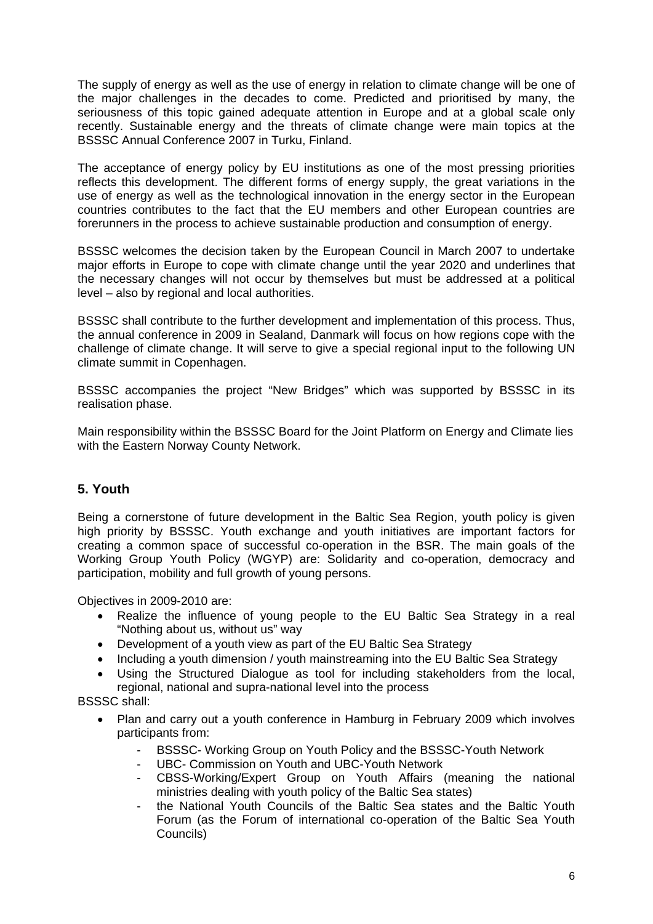The supply of energy as well as the use of energy in relation to climate change will be one of the major challenges in the decades to come. Predicted and prioritised by many, the seriousness of this topic gained adequate attention in Europe and at a global scale only recently. Sustainable energy and the threats of climate change were main topics at the BSSSC Annual Conference 2007 in Turku, Finland.

The acceptance of energy policy by EU institutions as one of the most pressing priorities reflects this development. The different forms of energy supply, the great variations in the use of energy as well as the technological innovation in the energy sector in the European countries contributes to the fact that the EU members and other European countries are forerunners in the process to achieve sustainable production and consumption of energy.

BSSSC welcomes the decision taken by the European Council in March 2007 to undertake major efforts in Europe to cope with climate change until the year 2020 and underlines that the necessary changes will not occur by themselves but must be addressed at a political level – also by regional and local authorities.

BSSSC shall contribute to the further development and implementation of this process. Thus, the annual conference in 2009 in Sealand, Danmark will focus on how regions cope with the challenge of climate change. It will serve to give a special regional input to the following UN climate summit in Copenhagen.

BSSSC accompanies the project "New Bridges" which was supported by BSSSC in its realisation phase.

Main responsibility within the BSSSC Board for the Joint Platform on Energy and Climate lies with the Eastern Norway County Network.

## **5. Youth**

Being a cornerstone of future development in the Baltic Sea Region, youth policy is given high priority by BSSSC. Youth exchange and youth initiatives are important factors for creating a common space of successful co-operation in the BSR. The main goals of the Working Group Youth Policy (WGYP) are: Solidarity and co-operation, democracy and participation, mobility and full growth of young persons.

Objectives in 2009-2010 are:

- Realize the influence of young people to the EU Baltic Sea Strategy in a real "Nothing about us, without us" way
- Development of a youth view as part of the EU Baltic Sea Strategy
- Including a youth dimension / youth mainstreaming into the EU Baltic Sea Strategy
- Using the Structured Dialogue as tool for including stakeholders from the local, regional, national and supra-national level into the process

BSSSC shall:

- Plan and carry out a youth conference in Hamburg in February 2009 which involves participants from:
	- BSSSC- Working Group on Youth Policy and the BSSSC-Youth Network
	- UBC- Commission on Youth and UBC-Youth Network
	- CBSS-Working/Expert Group on Youth Affairs (meaning the national ministries dealing with youth policy of the Baltic Sea states)
	- the National Youth Councils of the Baltic Sea states and the Baltic Youth Forum (as the Forum of international co-operation of the Baltic Sea Youth Councils)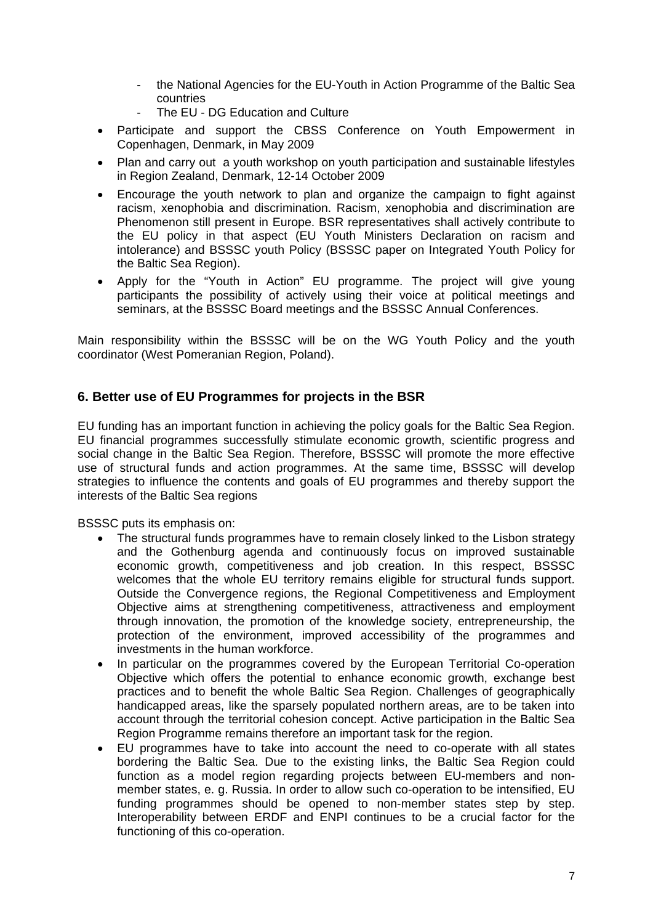- the National Agencies for the EU-Youth in Action Programme of the Baltic Sea countries
- The EU DG Education and Culture
- Participate and support the CBSS Conference on Youth Empowerment in Copenhagen, Denmark, in May 2009
- Plan and carry out a youth workshop on youth participation and sustainable lifestyles in Region Zealand, Denmark, 12-14 October 2009
- Encourage the youth network to plan and organize the campaign to fight against racism, xenophobia and discrimination. Racism, xenophobia and discrimination are Phenomenon still present in Europe. BSR representatives shall actively contribute to the EU policy in that aspect (EU Youth Ministers Declaration on racism and intolerance) and BSSSC youth Policy (BSSSC paper on Integrated Youth Policy for the Baltic Sea Region).
- Apply for the "Youth in Action" EU programme. The project will give young participants the possibility of actively using their voice at political meetings and seminars, at the BSSSC Board meetings and the BSSSC Annual Conferences.

Main responsibility within the BSSSC will be on the WG Youth Policy and the youth coordinator (West Pomeranian Region, Poland).

## **6. Better use of EU Programmes for projects in the BSR**

EU funding has an important function in achieving the policy goals for the Baltic Sea Region. EU financial programmes successfully stimulate economic growth, scientific progress and social change in the Baltic Sea Region. Therefore, BSSSC will promote the more effective use of structural funds and action programmes. At the same time, BSSSC will develop strategies to influence the contents and goals of EU programmes and thereby support the interests of the Baltic Sea regions

BSSSC puts its emphasis on:

- The structural funds programmes have to remain closely linked to the Lisbon strategy and the Gothenburg agenda and continuously focus on improved sustainable economic growth, competitiveness and job creation. In this respect, BSSSC welcomes that the whole EU territory remains eligible for structural funds support. Outside the Convergence regions, the Regional Competitiveness and Employment Objective aims at strengthening competitiveness, attractiveness and employment through innovation, the promotion of the knowledge society, entrepreneurship, the protection of the environment, improved accessibility of the programmes and investments in the human workforce.
- In particular on the programmes covered by the European Territorial Co-operation Objective which offers the potential to enhance economic growth, exchange best practices and to benefit the whole Baltic Sea Region. Challenges of geographically handicapped areas, like the sparsely populated northern areas, are to be taken into account through the territorial cohesion concept. Active participation in the Baltic Sea Region Programme remains therefore an important task for the region.
- EU programmes have to take into account the need to co-operate with all states bordering the Baltic Sea. Due to the existing links, the Baltic Sea Region could function as a model region regarding projects between EU-members and nonmember states, e. g. Russia. In order to allow such co-operation to be intensified, EU funding programmes should be opened to non-member states step by step. Interoperability between ERDF and ENPI continues to be a crucial factor for the functioning of this co-operation.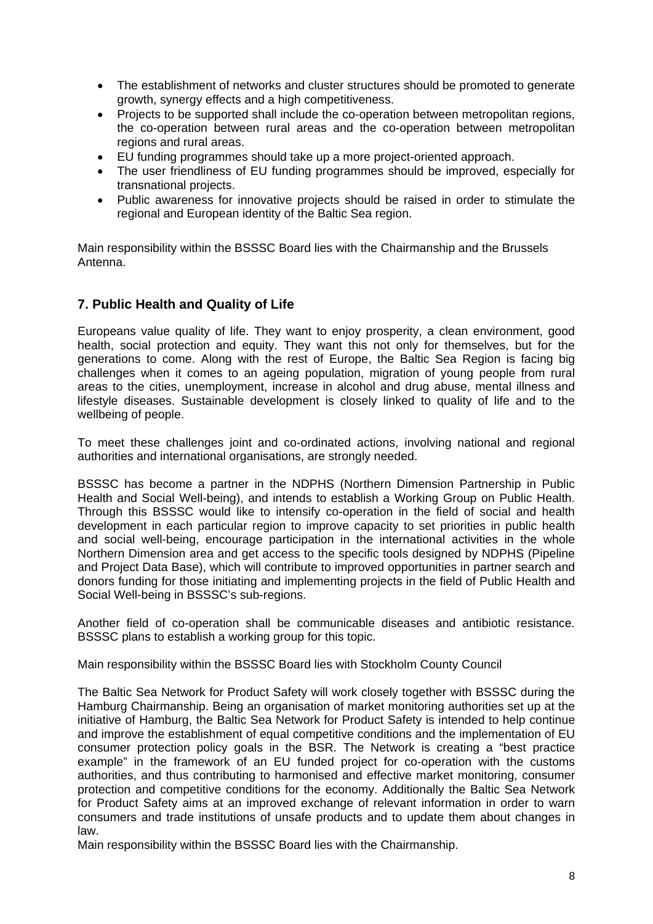- The establishment of networks and cluster structures should be promoted to generate growth, synergy effects and a high competitiveness.
- Projects to be supported shall include the co-operation between metropolitan regions, the co-operation between rural areas and the co-operation between metropolitan regions and rural areas.
- EU funding programmes should take up a more project-oriented approach.
- The user friendliness of EU funding programmes should be improved, especially for transnational projects.
- Public awareness for innovative projects should be raised in order to stimulate the regional and European identity of the Baltic Sea region.

Main responsibility within the BSSSC Board lies with the Chairmanship and the Brussels Antenna.

## **7. Public Health and Quality of Life**

Europeans value quality of life. They want to enjoy prosperity, a clean environment, good health, social protection and equity. They want this not only for themselves, but for the generations to come. Along with the rest of Europe, the Baltic Sea Region is facing big challenges when it comes to an ageing population, migration of young people from rural areas to the cities, unemployment, increase in alcohol and drug abuse, mental illness and lifestyle diseases. Sustainable development is closely linked to quality of life and to the wellbeing of people.

To meet these challenges joint and co-ordinated actions, involving national and regional authorities and international organisations, are strongly needed.

BSSSC has become a partner in the NDPHS (Northern Dimension Partnership in Public Health and Social Well-being), and intends to establish a Working Group on Public Health. Through this BSSSC would like to intensify co-operation in the field of social and health development in each particular region to improve capacity to set priorities in public health and social well-being, encourage participation in the international activities in the whole Northern Dimension area and get access to the specific tools designed by NDPHS (Pipeline and Project Data Base), which will contribute to improved opportunities in partner search and donors funding for those initiating and implementing projects in the field of Public Health and Social Well-being in BSSSC's sub-regions.

Another field of co-operation shall be communicable diseases and antibiotic resistance. BSSSC plans to establish a working group for this topic.

Main responsibility within the BSSSC Board lies with Stockholm County Council

The Baltic Sea Network for Product Safety will work closely together with BSSSC during the Hamburg Chairmanship. Being an organisation of market monitoring authorities set up at the initiative of Hamburg, the Baltic Sea Network for Product Safety is intended to help continue and improve the establishment of equal competitive conditions and the implementation of EU consumer protection policy goals in the BSR. The Network is creating a "best practice example" in the framework of an EU funded project for co-operation with the customs authorities, and thus contributing to harmonised and effective market monitoring, consumer protection and competitive conditions for the economy. Additionally the Baltic Sea Network for Product Safety aims at an improved exchange of relevant information in order to warn consumers and trade institutions of unsafe products and to update them about changes in law.

Main responsibility within the BSSSC Board lies with the Chairmanship.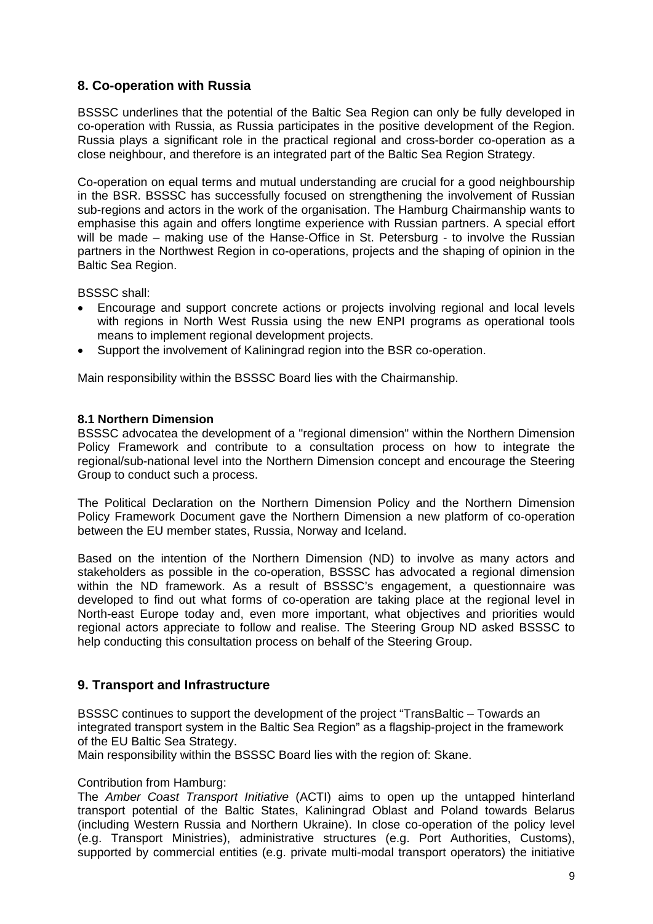## **8. Co-operation with Russia**

BSSSC underlines that the potential of the Baltic Sea Region can only be fully developed in co-operation with Russia, as Russia participates in the positive development of the Region. Russia plays a significant role in the practical regional and cross-border co-operation as a close neighbour, and therefore is an integrated part of the Baltic Sea Region Strategy.

Co-operation on equal terms and mutual understanding are crucial for a good neighbourship in the BSR. BSSSC has successfully focused on strengthening the involvement of Russian sub-regions and actors in the work of the organisation. The Hamburg Chairmanship wants to emphasise this again and offers longtime experience with Russian partners. A special effort will be made – making use of the Hanse-Office in St. Petersburg - to involve the Russian partners in the Northwest Region in co-operations, projects and the shaping of opinion in the Baltic Sea Region.

BSSSC shall:

- Encourage and support concrete actions or projects involving regional and local levels with regions in North West Russia using the new ENPI programs as operational tools means to implement regional development projects.
- Support the involvement of Kaliningrad region into the BSR co-operation.

Main responsibility within the BSSSC Board lies with the Chairmanship.

#### **8.1 Northern Dimension**

BSSSC advocatea the development of a "regional dimension" within the Northern Dimension Policy Framework and contribute to a consultation process on how to integrate the regional/sub-national level into the Northern Dimension concept and encourage the Steering Group to conduct such a process.

The Political Declaration on the Northern Dimension Policy and the Northern Dimension Policy Framework Document gave the Northern Dimension a new platform of co-operation between the EU member states, Russia, Norway and Iceland.

Based on the intention of the Northern Dimension (ND) to involve as many actors and stakeholders as possible in the co-operation, BSSSC has advocated a regional dimension within the ND framework. As a result of BSSSC's engagement, a questionnaire was developed to find out what forms of co-operation are taking place at the regional level in North-east Europe today and, even more important, what objectives and priorities would regional actors appreciate to follow and realise. The Steering Group ND asked BSSSC to help conducting this consultation process on behalf of the Steering Group.

## **9. Transport and Infrastructure**

BSSSC continues to support the development of the project "TransBaltic – Towards an integrated transport system in the Baltic Sea Region" as a flagship-project in the framework of the EU Baltic Sea Strategy.

Main responsibility within the BSSSC Board lies with the region of: Skane.

#### Contribution from Hamburg:

The *Amber Coast Transport Initiative* (ACTI) aims to open up the untapped hinterland transport potential of the Baltic States, Kaliningrad Oblast and Poland towards Belarus (including Western Russia and Northern Ukraine). In close co-operation of the policy level (e.g. Transport Ministries), administrative structures (e.g. Port Authorities, Customs), supported by commercial entities (e.g. private multi-modal transport operators) the initiative